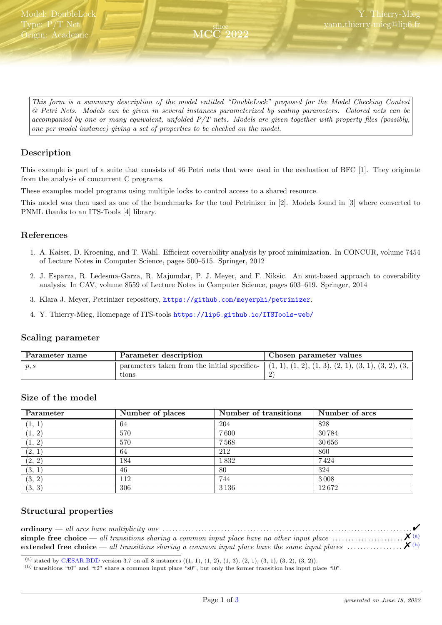<span id="page-0-2"></span>This form is a summary description of the model entitled "DoubleLock" proposed for the Model Checking Contest @ Petri Nets. Models can be given in several instances parameterized by scaling parameters. Colored nets can be accompanied by one or many equivalent, unfolded P/T nets. Models are given together with property files (possibly, one per model instance) giving a set of properties to be checked on the model.

since MCC 2022

# Description

This example is part of a suite that consists of 46 Petri nets that were used in the evaluation of BFC [1]. They originate from the analysis of concurrent C programs.

These examples model programs using multiple locks to control access to a shared resource.

This model was then used as one of the benchmarks for the tool Petrinizer in [2]. Models found in [3] where converted to PNML thanks to an ITS-Tools [4] library.

### References

- 1. A. Kaiser, D. Kroening, and T. Wahl. Efficient coverability analysis by proof minimization. In CONCUR, volume 7454 of Lecture Notes in Computer Science, pages 500–515. Springer, 2012
- 2. J. Esparza, R. Ledesma-Garza, R. Majumdar, P. J. Meyer, and F. Niksic. An smt-based approach to coverability analysis. In CAV, volume 8559 of Lecture Notes in Computer Science, pages 603–619. Springer, 2014
- 3. Klara J. Meyer, Petrinizer repository, <https://github.com/meyerphi/petrinizer>.
- 4. Y. Thierry-Mieg, Homepage of ITS-tools <https://lip6.github.io/ITSTools-web/>

### Scaling parameter

| Parameter name | Parameter description                                        | Chosen parameter values                                  |
|----------------|--------------------------------------------------------------|----------------------------------------------------------|
| p, s           | parameters taken from the initial specifica-<br>${\rm tons}$ | $(1, 1), (1, 2), (1, 3), (2, 1), (3, 1), (3, 2), (3, 1)$ |

### Size of the model

| Parameter | Number of places | Number of transitions | Number of arcs |
|-----------|------------------|-----------------------|----------------|
| (1, 1)    | 64               | 204                   | 828            |
| (1, 2)    | 570              | 7600                  | 30784          |
| (1, 2)    | 570              | 7568                  | 30656          |
| (2, 1)    | 64               | 212                   | 860            |
| (2, 2)    | 184              | 1832                  | 7424           |
| (3, 1)    | 46               | 80                    | 324            |
| (3, 2)    | 112              | 744                   | 3008           |
| (3, 3)    | 306              | 3136                  | 12672          |

### Structural properties

| extended free choice — all transitions sharing a common input place have the same input places $\ldots$ $\mathsf{X}^{(b)}$ |  |
|----------------------------------------------------------------------------------------------------------------------------|--|

<span id="page-0-0"></span>(a) stated by [CÆSAR.BDD](http://cadp.inria.fr/man/caesar.bdd.html) version 3.7 on all 8 instances  $((1, 1), (1, 2), (1, 3), (2, 1), (3, 1), (3, 2), (3, 2)).$ 

<span id="page-0-1"></span>(b) transitions "t0" and "t2" share a common input place "s0", but only the former transition has input place "l0".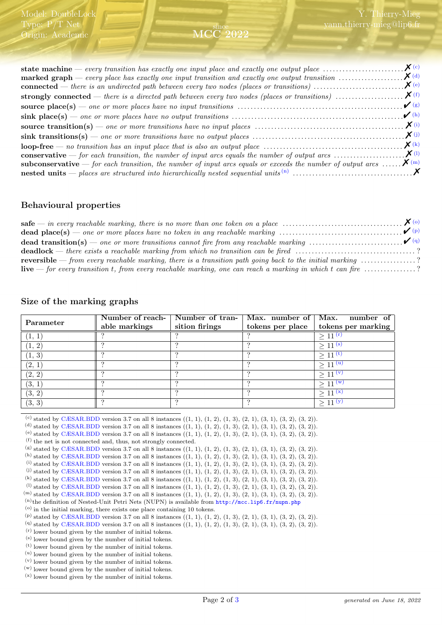#### since MCC 2022

| <b>subconservative</b> — for each transition, the number of input arcs equals or exceeds the number of output arcs $\mathbf{X}^{(m)}$ |  |
|---------------------------------------------------------------------------------------------------------------------------------------|--|
|                                                                                                                                       |  |

### Behavioural properties

| <b>deadlock</b> — there exists a reachable marking from which no transition can be fired ?                                                   |  |
|----------------------------------------------------------------------------------------------------------------------------------------------|--|
| <b>reversible</b> — from every reachable marking, there is a transition path going back to the initial marking $\ldots \ldots \ldots \ldots$ |  |
| <b>live</b> — for every transition t, from every reachable marking, one can reach a marking in which t can fire $\ldots$ ?                   |  |

# Size of the marking graphs

|           |               | Number of reach-   Number of tran-   Max. number of   Max. |                  | $number$ of         |
|-----------|---------------|------------------------------------------------------------|------------------|---------------------|
| Parameter | able markings | sition firings                                             | tokens per place | tokens per marking  |
|           |               |                                                            |                  | $> 11^{(r)}$        |
| 1, 2      |               |                                                            |                  | > 11 <sup>(s)</sup> |
| (1, 3)    |               |                                                            |                  | $> 11^{(t)}$        |
| (2, 1)    |               |                                                            |                  | $> 11^{(u)}$        |
| (2, 2)    |               |                                                            |                  | $> 11^{(v)}$        |
| (3, 1)    |               |                                                            |                  | > 11 <sup>(w)</sup> |
| (3, 2)    |               |                                                            |                  | $> 11^{(x)}$        |
| (3, 3)    |               |                                                            |                  |                     |

<span id="page-1-0"></span>(c) stated by [CÆSAR.BDD](http://cadp.inria.fr/man/caesar.bdd.html) version 3.7 on all 8 instances  $((1, 1), (1, 2), (1, 3), (2, 1), (3, 1), (3, 2), (3, 2))$ .

<span id="page-1-1"></span>(d) stated by [CÆSAR.BDD](http://cadp.inria.fr/man/caesar.bdd.html) version 3.7 on all 8 instances  $((1, 1), (1, 2), (1, 3), (2, 1), (3, 1), (3, 2), (3, 2)).$ 

<span id="page-1-2"></span>(e) stated by [CÆSAR.BDD](http://cadp.inria.fr/man/caesar.bdd.html) version 3.7 on all 8 instances  $((1, 1), (1, 2), (1, 3), (2, 1), (3, 1), (3, 2), (3, 2)).$ 

<span id="page-1-3"></span>(f) the net is not connected and, thus, not strongly connected.

<span id="page-1-4"></span> $(8)$  stated by [CÆSAR.BDD](http://cadp.inria.fr/man/caesar.bdd.html) version 3.7 on all 8 instances  $((1, 1), (1, 2), (1, 3), (2, 1), (3, 1), (3, 2), (3, 2)$ .

```
CÆSAR.BDD version 3.7 on all 8 instances ((1, 1), (1, 2), (1, 3), (2, 1), (3, 1), (3, 2), (3, 2)).
```

```
CÆSAR.BDD version 3.7 on all 8 instances ((1, 1), (1, 2), (1, 3), (2, 1), (3, 1), (3, 2), (3, 2)).CÆSAR.BDD version 3.7 on all 8 instances ((1, 1), (1, 2), (1, 3), (2, 1), (3, 1), (3, 2), (3, 2).
```

```
CÆSAR.BDD version 3.7 on all 8 instances ((1, 1), (1, 2), (1, 3), (2, 1), (3, 1), (3, 2), (3, 2).
```

```
CÆSAR.BDD version 3.7 on all 8 instances ((1, 1), (1, 2), (1, 3), (2, 1), (3, 1), (3, 2), (3, 2)).
```
<span id="page-1-10"></span> $(m)$  stated by [CÆSAR.BDD](http://cadp.inria.fr/man/caesar.bdd.html) version 3.7 on all 8 instances  $((1, 1), (1, 2), (1, 3), (2, 1), (3, 1), (3, 2), (3, 2)).$ 

```
(n)the definition of Nested-Unit Petri Nets (NUPN) is available from http://mcc.lip6.fr/nupn.php
```
<span id="page-1-12"></span> $(0)$  in the initial marking, there exists one place containing 10 tokens.

```
(p)CÆSAR.BDD version 3.7 on all 8 instances ((1, 1), (1, 2), (1, 3), (2, 1), (3, 1), (3, 2), (3, 2)).
```

```
CÆSAR.BDD version 3.7 on all 8 instances ((1, 1), (1, 2), (1, 3), (2, 1), (3, 1), (3, 2), (3, 2)).(r) lower bound given by the number of initial tokens.
```
<span id="page-1-15"></span>(s) lower bound given by the number of initial tokens.

```
(t) lower bound given by the number of initial tokens.
```

```
(u) lower bound given by the number of initial tokens.
```

```
(v) lower bound given by the number of initial tokens.
```
(w) lower bound given by the number of initial tokens.

(x) lower bound given by the number of initial tokens.